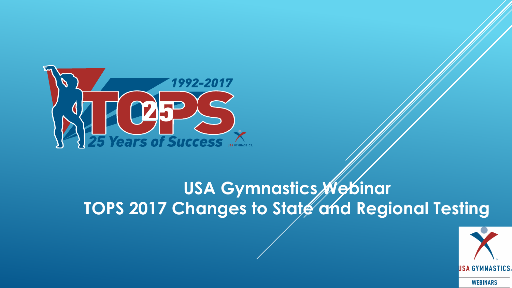

#### **USA Gymnastics Webinar TOPS 2017 Changes to State and Regional Testing**

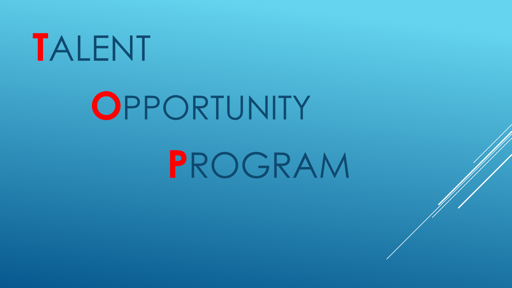# **T**ALENT

### **O**PPORTUNITY

# **P**ROGRAM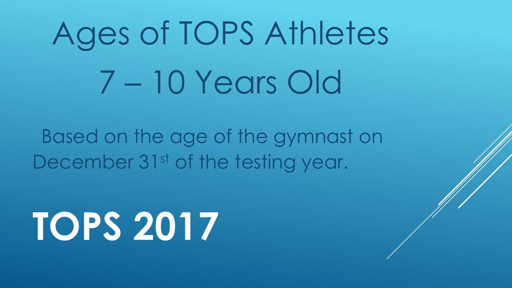# Ages of TOPS Athletes 7 – 10 Years Old

Based on the age of the gymnast on December 31<sup>st</sup> of the testing year.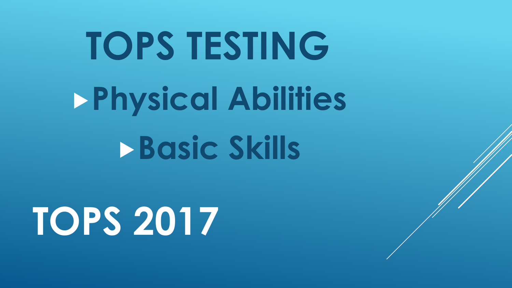# **TOPS TESTING Physical Abilities Basic Skills**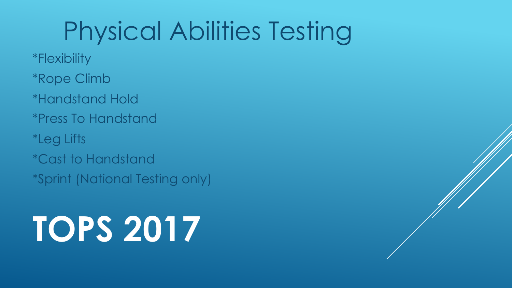#### Physical Abilities Testing

\*Flexibility

\*Rope Climb

\*Handstand Hold

\*Press To Handstand

\*Leg Lifts

\*Cast to Handstand

\*Sprint (National Testing only)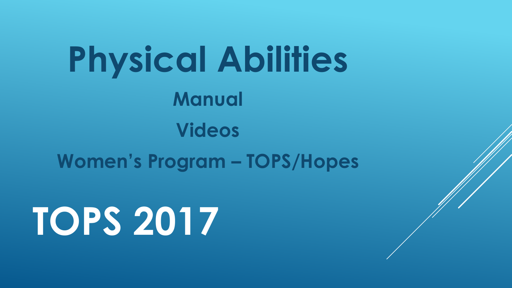**Physical Abilities Manual Videos Women's Program – TOPS/Hopes**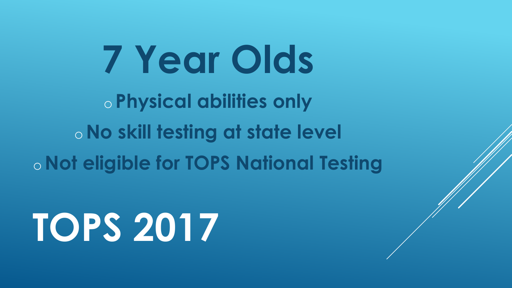**7 Year Olds**  o **Physical abilities only**  o**No skill testing at state level**  o**Not eligible for TOPS National Testing**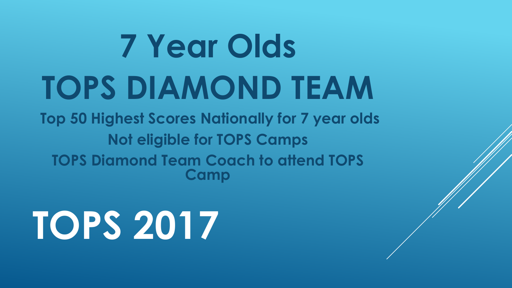# **7 Year Olds TOPS DIAMOND TEAM**

**Top 50 Highest Scores Nationally for 7 year olds Not eligible for TOPS Camps TOPS Diamond Team Coach to attend TOPS Camp**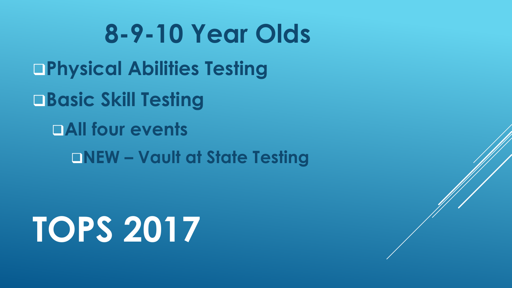**8-9-10 Year Olds** q**Physical Abilities Testing**  q**Basic Skill Testing DAII four events** q**NEW – Vault at State Testing**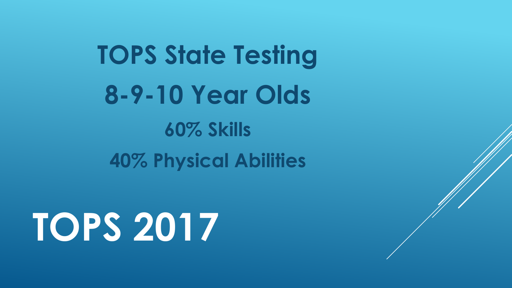**TOPS State Testing 8-9-10 Year Olds 60% Skills 40% Physical Abilities**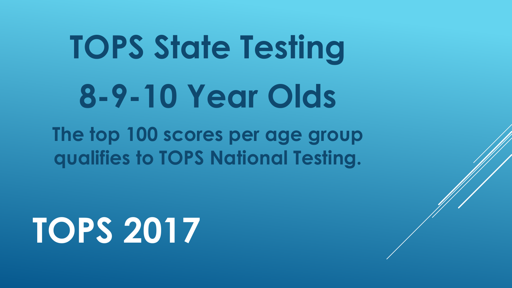# **TOPS State Testing 8-9-10 Year Olds**

**The top 100 scores per age group qualifies to TOPS National Testing.**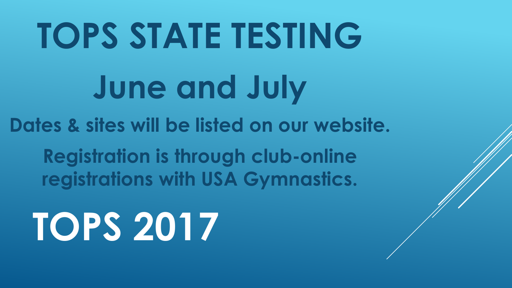# **TOPS STATE TESTING June and July Dates & sites will be listed on our website.**

**Registration is through club-online registrations with USA Gymnastics.**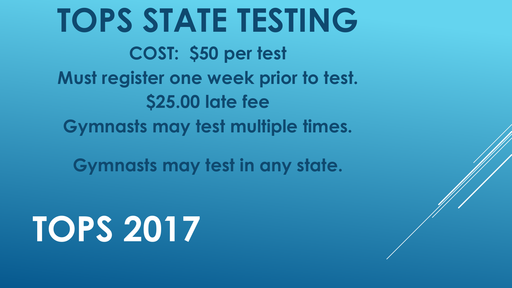**TOPS STATE TESTING COST: \$50 per test Must register one week prior to test. \$25.00 late fee Gymnasts may test multiple times.**

**Gymnasts may test in any state.**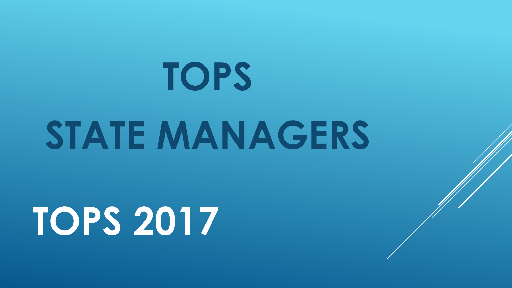# **TOPS**  STATE MANAGERS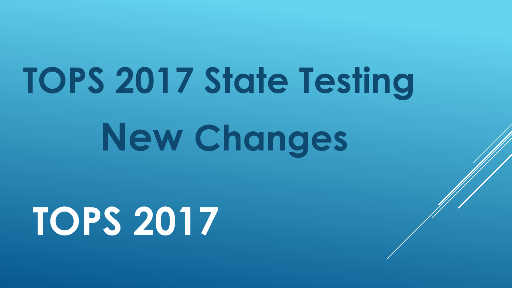# **TOPS 2017 State Testing**

**New Changes**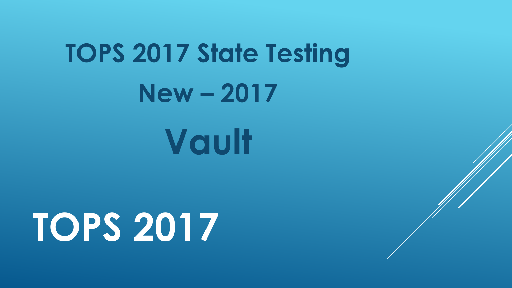# **TOPS 2017 State Testing New – 2017**

**Vault**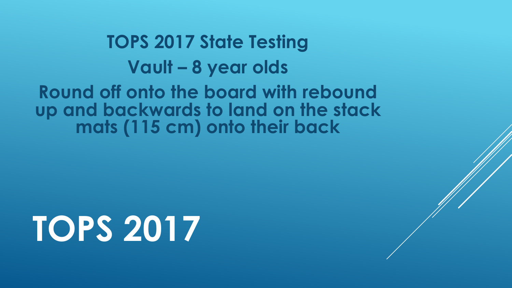#### **TOPS 2017 State Testing Vault – 8 year olds**

**Round off onto the board with rebound up and backwards to land on the stack mats (115 cm) onto their back**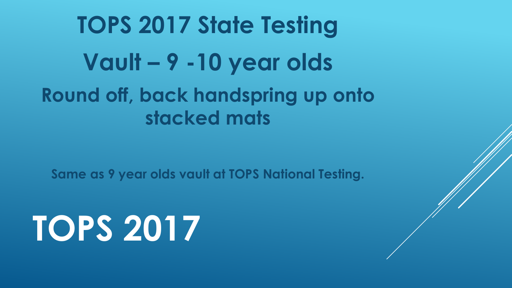#### **TOPS 2017 State Testing Vault – 9 -10 year olds Round off, back handspring up onto stacked mats**

**Same as 9 year olds vault at TOPS National Testing.**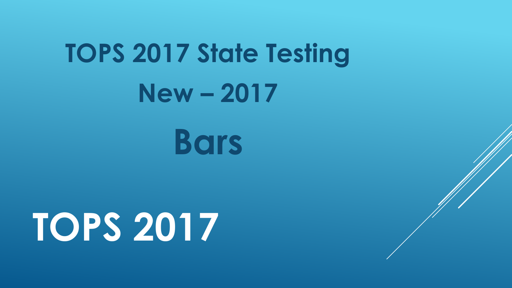### **TOPS 2017 State Testing New – 2017**

**Bars**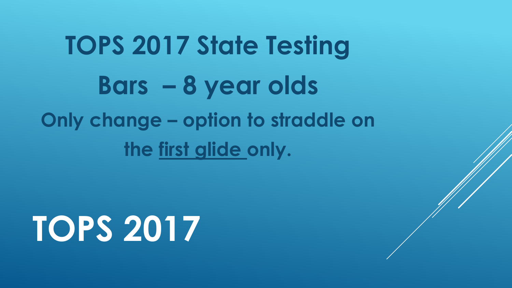### **TOPS 2017 State Testing Bars – 8 year olds Only change – option to straddle on the first glide only.**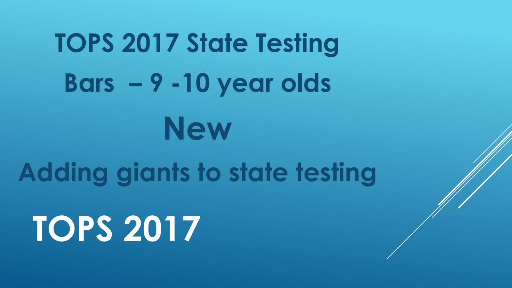# **TOPS 2017 State Testing Bars – 9 -10 year olds New Adding giants to state testing TOPS 2017**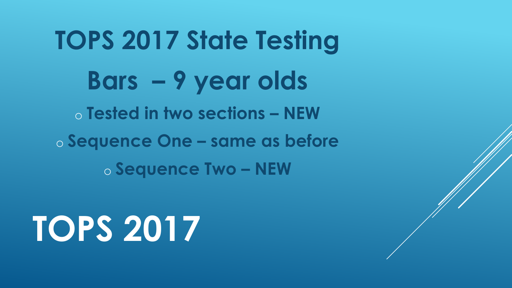**TOPS 2017 State Testing Bars – 9 year olds** o **Tested in two sections – NEW**  o **Sequence One – same as before**  o **Sequence Two – NEW**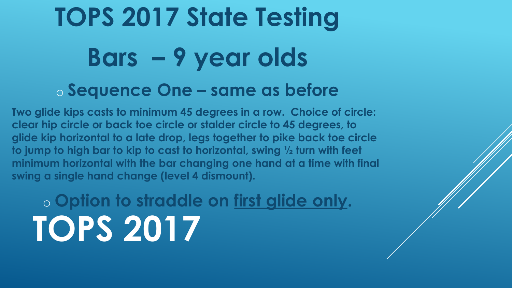### **TOPS 2017 State Testing Bars – 9 year olds** o **Sequence One – same as before**

**Two glide kips casts to minimum 45 degrees in a row. Choice of circle: clear hip circle or back toe circle or stalder circle to 45 degrees, to glide kip horizontal to a late drop, legs together to pike back toe circle to jump to high bar to kip to cast to horizontal, swing ½ turn with feet minimum horizontal with the bar changing one hand at a time with final swing a single hand change (level 4 dismount).** 

o **Option to straddle on first glide only. TOPS 2017**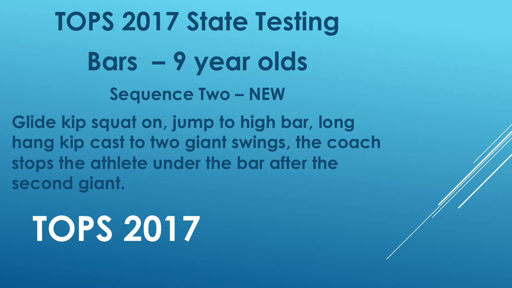**TOPS 2017 State Testing Bars – 9 year olds Sequence Two – NEW** 

**Glide kip squat on, jump to high bar, long hang kip cast to two giant swings, the coach stops the athlete under the bar after the second giant.**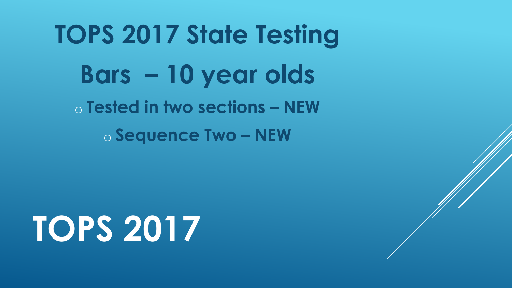**TOPS 2017 State Testing Bars – 10 year olds** o **Tested in two sections – NEW**  o **Sequence Two – NEW**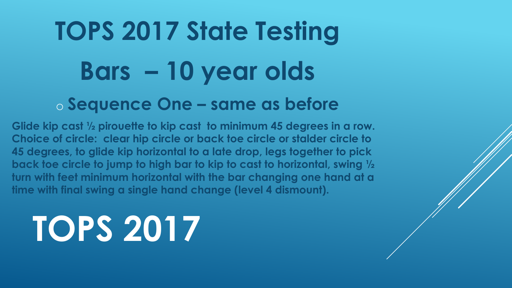### **TOPS 2017 State Testing Bars – 10 year olds** o **Sequence One – same as before**

**Glide kip cast ½ pirouette to kip cast to minimum 45 degrees in a row. Choice of circle: clear hip circle or back toe circle or stalder circle to 45 degrees, to glide kip horizontal to a late drop, legs together to pick back toe circle to jump to high bar to kip to cast to horizontal, swing ½ turn with feet minimum horizontal with the bar changing one hand at a time with final swing a single hand change (level 4 dismount).**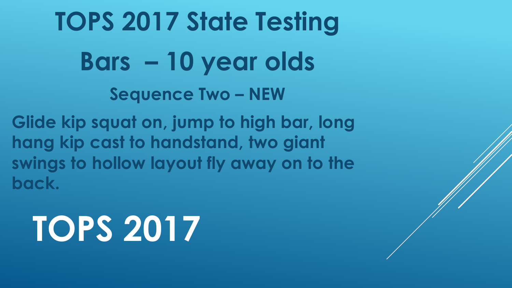**TOPS 2017 State Testing Bars – 10 year olds Sequence Two – NEW** 

**Glide kip squat on, jump to high bar, long hang kip cast to handstand, two giant swings to hollow layout fly away on to the back.**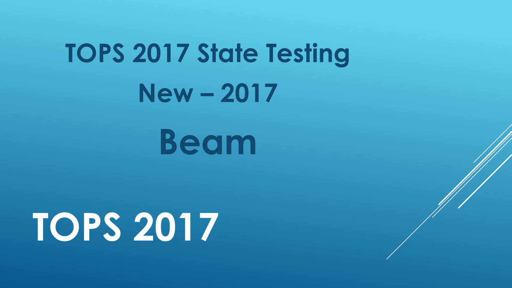### **TOPS 2017 State Testing New – 2017**

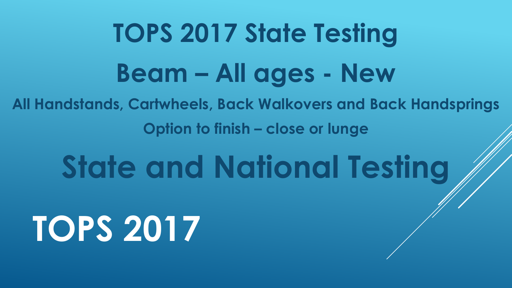### **TOPS 2017 State Testing Beam – All ages - New**

**All Handstands, Cartwheels, Back Walkovers and Back Handsprings**

**Option to finish – close or lunge** 

### **State and National Testing**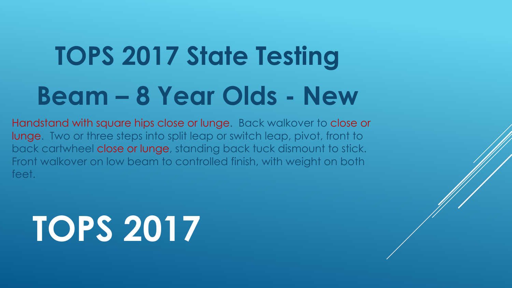### **TOPS 2017 State Testing Beam – 8 Year Olds - New**

Handstand with square hips close or lunge. Back walkover to close or lunge. Two or three steps into split leap or switch leap, pivot, front to back cartwheel close or lunge, standing back tuck dismount to stick. Front walkover on low beam to controlled finish, with weight on both feet.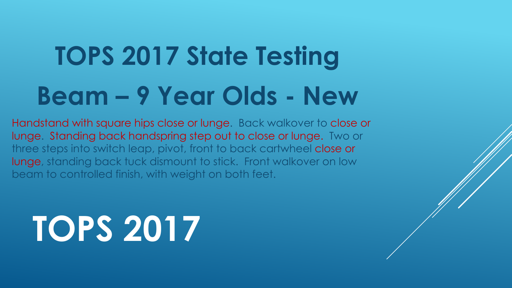### **TOPS 2017 State Testing Beam – 9 Year Olds - New**

Handstand with square hips close or lunge. Back walkover to close or lunge. Standing back handspring step out to close or lunge. Two or three steps into switch leap, pivot, front to back cartwheel close or lunge, standing back tuck dismount to stick. Front walkover on low beam to controlled finish, with weight on both feet.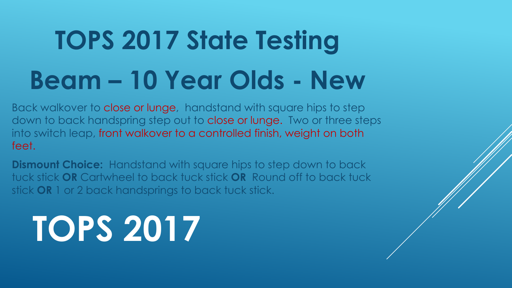### **TOPS 2017 State Testing Beam – 10 Year Olds - New**

Back walkover to close or lunge, handstand with square hips to step down to back handspring step out to close or lunge. Two or three steps into switch leap, front walkover to a controlled finish, weight on both feet.

**Dismount Choice:** Handstand with square hips to step down to back tuck stick **OR** Cartwheel to back tuck stick **OR** Round off to back tuck stick **OR** 1 or 2 back handsprings to back tuck stick.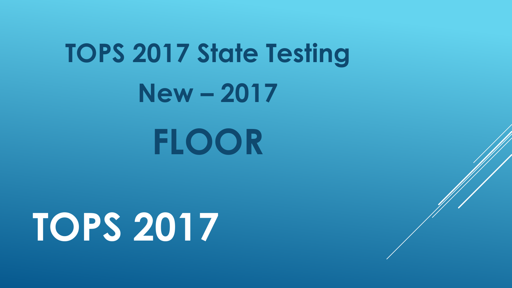# **TOPS 2017 State Testing New – 2017**

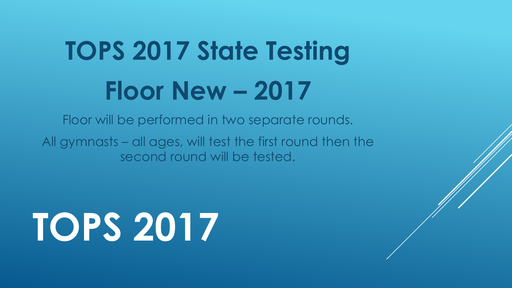### **TOPS 2017 State Testing Floor New – 2017**

Floor will be performed in two separate rounds.

All gymnasts – all ages, will test the first round then the second round will be tested.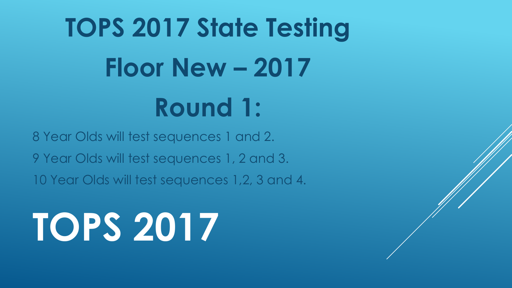# **TOPS 2017 State Testing Floor New – 2017 Round 1:**

8 Year Olds will test sequences 1 and 2. 9 Year Olds will test sequences 1, 2 and 3. 10 Year Olds will test sequences 1,2, 3 and 4.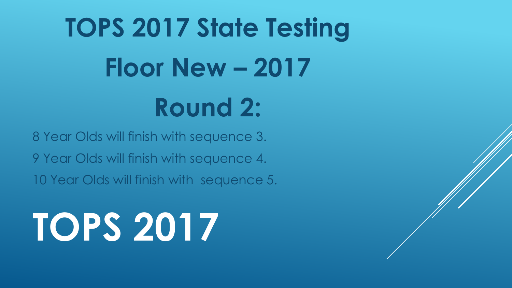## **TOPS 2017 State Testing Floor New – 2017 Round 2:**

8 Year Olds will finish with sequence 3. 9 Year Olds will finish with sequence 4. 10 Year Olds will finish with sequence 5.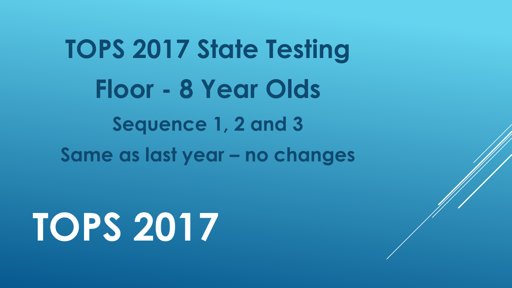### **TOPS 2017 State Testing Floor - 8 Year Olds Sequence 1, 2 and 3 Same as last year – no changes**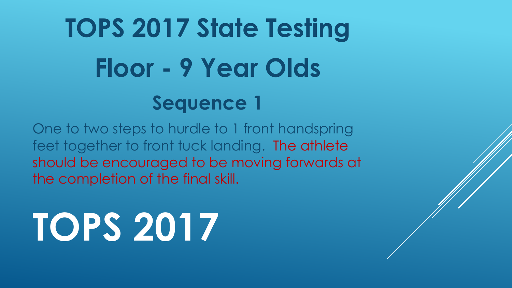### **TOPS 2017 State Testing Floor - 9 Year Olds Sequence 1**

One to two steps to hurdle to 1 front handspring feet together to front tuck landing. The athlete should be encouraged to be moving forwards at the completion of the final skill.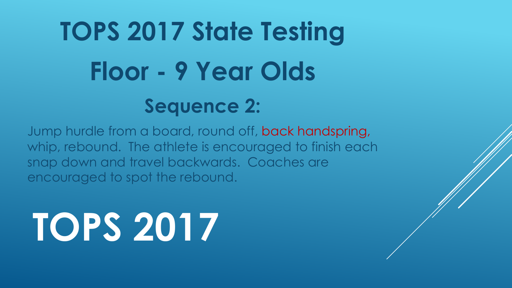### **TOPS 2017 State Testing Floor - 9 Year Olds Sequence 2:**

Jump hurdle from a board, round off, back handspring, whip, rebound. The athlete is encouraged to finish each snap down and travel backwards. Coaches are encouraged to spot the rebound.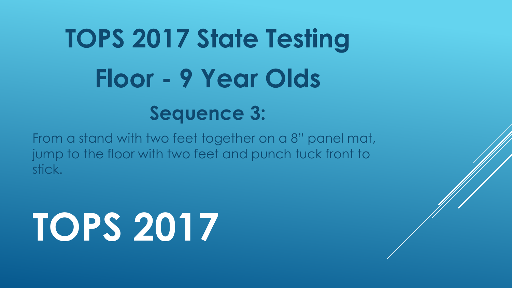### **TOPS 2017 State Testing Floor - 9 Year Olds Sequence 3:**

From a stand with two feet together on a 8" panel mat, jump to the floor with two feet and punch tuck front to stick.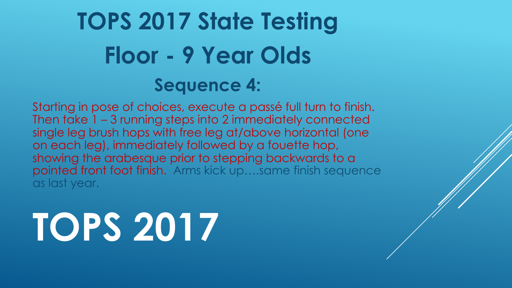#### **TOPS 2017 State Testing Floor - 9 Year Olds Sequence 4:**

Starting in pose of choices, execute a passé full turn to finish. Then take 1 – 3 running steps into 2 immediately connected single leg brush hops with free leg at/above horizontal (one on each leg), immediately followed by a fouette hop, showing the arabesque prior to stepping backwards to a pointed front foot finish. Arms kick up….same finish sequence as last year.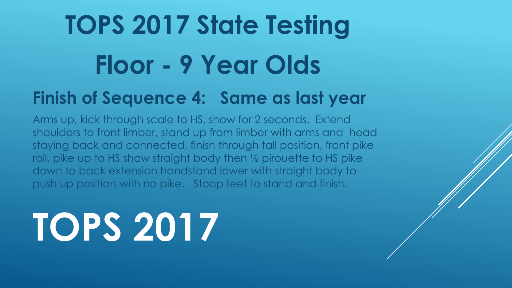## **TOPS 2017 State Testing Floor - 9 Year Olds**

#### **Finish of Sequence 4: Same as last year**

Arms up, kick through scale to HS, show for 2 seconds. Extend shoulders to front limber, stand up from limber with arms and head staying back and connected, finish through tall position, front pike roll, pike up to HS show straight body then ½ pirouette to HS pike down to back extension handstand lower with straight body to push up position with no pike. Stoop feet to stand and finish.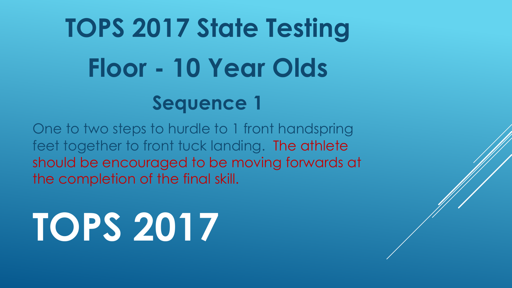### **TOPS 2017 State Testing Floor - 10 Year Olds Sequence 1**

One to two steps to hurdle to 1 front handspring feet together to front tuck landing. The athlete should be encouraged to be moving forwards at the completion of the final skill.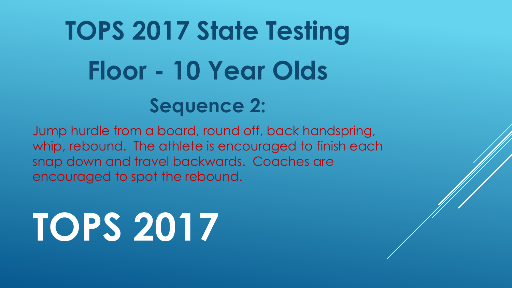### **TOPS 2017 State Testing Floor - 10 Year Olds Sequence 2:**

Jump hurdle from a board, round off, back handspring, whip, rebound. The athlete is encouraged to finish each snap down and travel backwards. Coaches are encouraged to spot the rebound.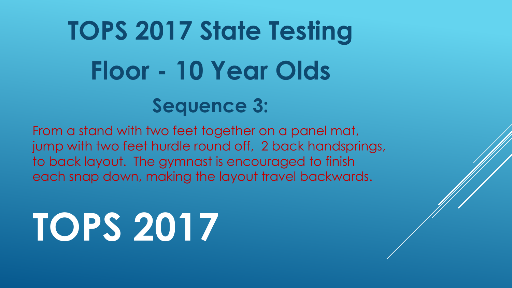### **TOPS 2017 State Testing Floor - 10 Year Olds Sequence 3:**

From a stand with two feet together on a panel mat, jump with two feet hurdle round off, 2 back handsprings, to back layout. The gymnast is encouraged to finish each snap down, making the layout travel backwards.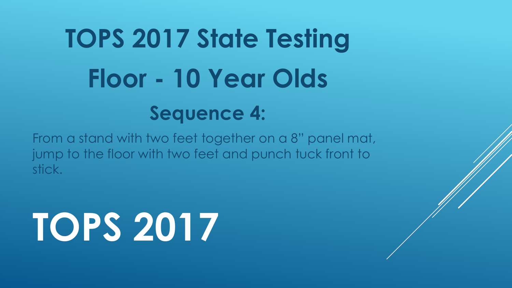### **TOPS 2017 State Testing Floor - 10 Year Olds Sequence 4:**

From a stand with two feet together on a 8" panel mat, jump to the floor with two feet and punch tuck front to stick.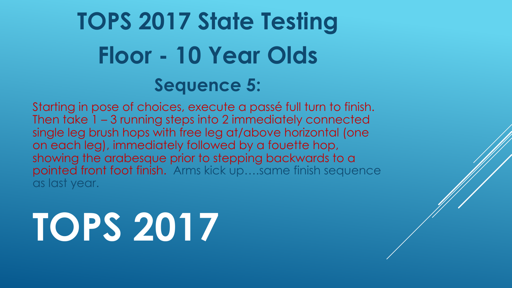#### **TOPS 2017 State Testing Floor - 10 Year Olds Sequence 5:**

Starting in pose of choices, execute a passé full turn to finish. Then take 1 – 3 running steps into 2 immediately connected single leg brush hops with free leg at/above horizontal (one on each leg), immediately followed by a fouette hop, showing the arabesque prior to stepping backwards to a pointed front foot finish. Arms kick up….same finish sequence as last year.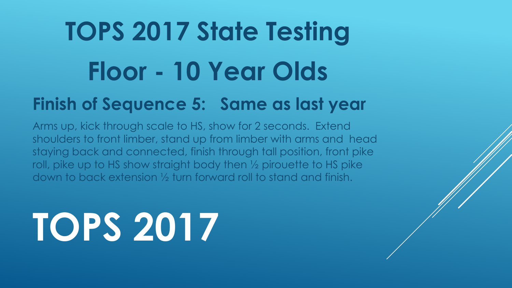## **TOPS 2017 State Testing Floor - 10 Year Olds**

#### **Finish of Sequence 5: Same as last year**

Arms up, kick through scale to HS, show for 2 seconds. Extend shoulders to front limber, stand up from limber with arms and head staying back and connected, finish through tall position, front pike roll, pike up to HS show straight body then ½ pirouette to HS pike down to back extension ½ turn forward roll to stand and finish.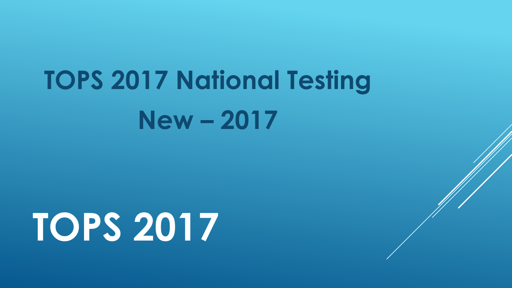### **TOPS 2017 National Testing New – 2017**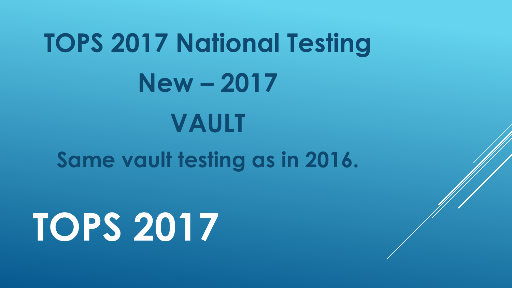## **TOPS 2017 National Testing New – 2017 VAULT Same vault testing as in 2016.**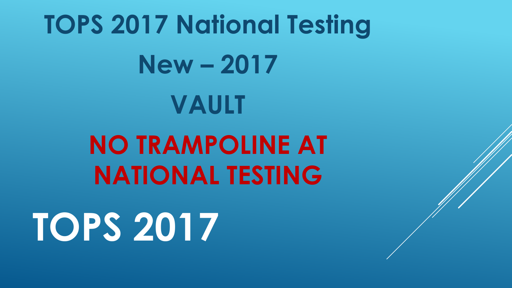## **TOPS 2017 National Testing New – 2017 VAULT NO TRAMPOLINE AT NATIONAL TESTING TOPS 2017**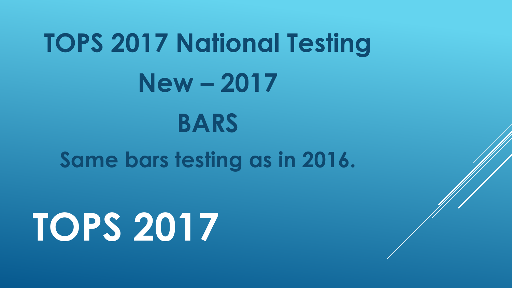## **TOPS 2017 National Testing New – 2017 BARS Same bars testing as in 2016.**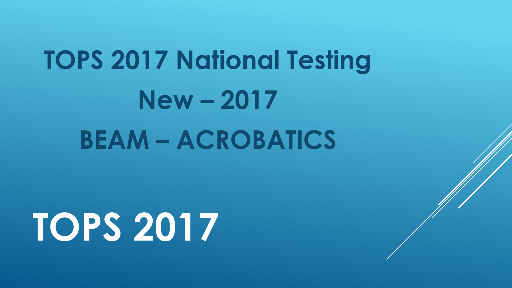## **TOPS 2017 National Testing New – 2017 BEAM – ACROBATICS**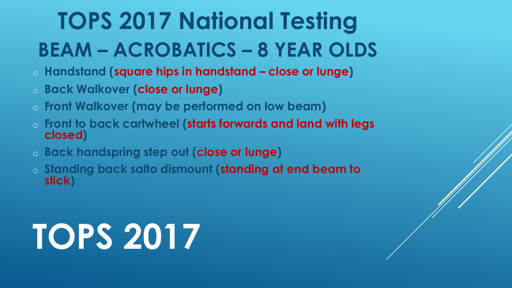#### **TOPS 2017 National Testing BEAM – ACROBATICS – 8 YEAR OLDS**

- o **Handstand (square hips in handstand – close or lunge)**
- o **Back Walkover (close or lunge)**
- o **Front Walkover (may be performed on low beam)**
- o **Front to back cartwheel (starts forwards and land with legs closed)**
- o **Back handspring step out (close or lunge)**
- o **Standing back salto dismount (standing at end beam to stick)**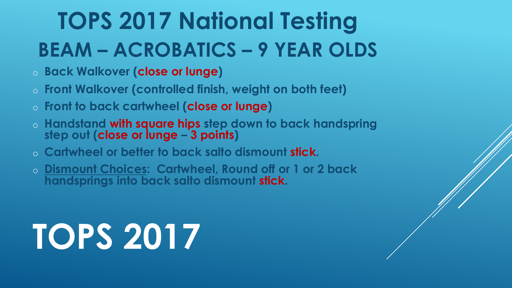#### **TOPS 2017 National Testing BEAM – ACROBATICS – 9 YEAR OLDS**

- o **Back Walkover (close or lunge)**
- o **Front Walkover (controlled finish, weight on both feet)**
- o **Front to back cartwheel (close or lunge)**
- <sup>o</sup> **Handstand with square hips step down to back handspring step out (close or lunge – 3 points)**
- o **Cartwheel or better to back salto dismount stick.**
- o **Dismount Choices: Cartwheel, Round off or 1 or 2 back handsprings into back salto dismount stick.**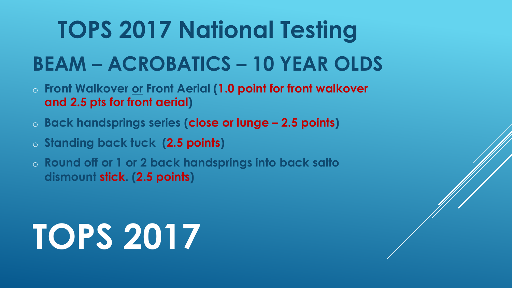#### **TOPS 2017 National Testing**

#### **BEAM – ACROBATICS – 10 YEAR OLDS**

- o **Front Walkover or Front Aerial (1.0 point for front walkover and 2.5 pts for front aerial)**
- o **Back handsprings series (close or lunge – 2.5 points)**
- o **Standing back tuck (2.5 points)**
- o **Round off or 1 or 2 back handsprings into back salto dismount stick. (2.5 points)**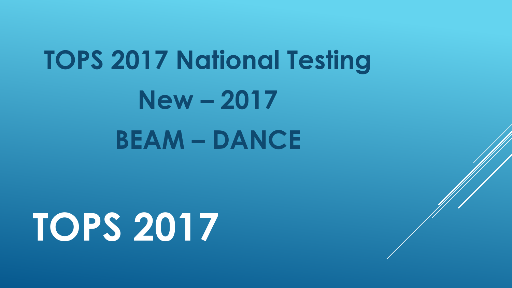### **TOPS 2017 National Testing New – 2017 BEAM – DANCE**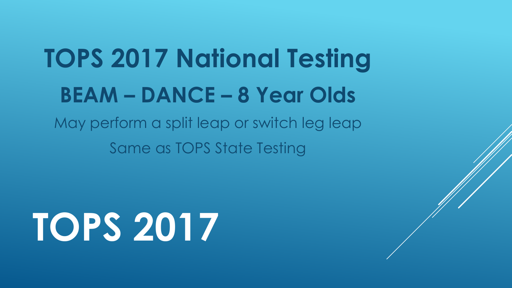### **TOPS 2017 National Testing BEAM – DANCE – 8 Year Olds**

May perform a split leap or switch leg leap Same as TOPS State Testing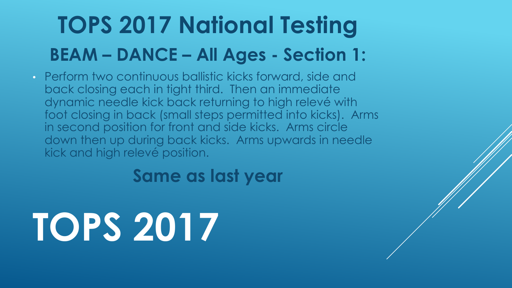#### **TOPS 2017 National Testing BEAM – DANCE – All Ages - Section 1:**

• Perform two continuous ballistic kicks forward, side and back closing each in tight third. Then an immediate dynamic needle kick back returning to high relevé with foot closing in back (small steps permitted into kicks). Arms in second position for front and side kicks. Arms circle down then up during back kicks. Arms upwards in needle kick and high relevé position.

**Same as last year**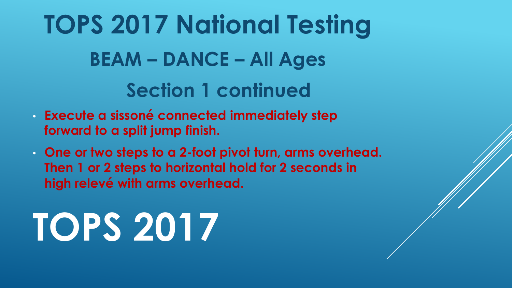**TOPS 2017 National Testing BEAM – DANCE – All Ages Section 1 continued** 

- **Execute a sissoné connected immediately step forward to a split jump finish.**
- **One or two steps to a 2-foot pivot turn, arms overhead. Then 1 or 2 steps to horizontal hold for 2 seconds in high relevé with arms overhead.**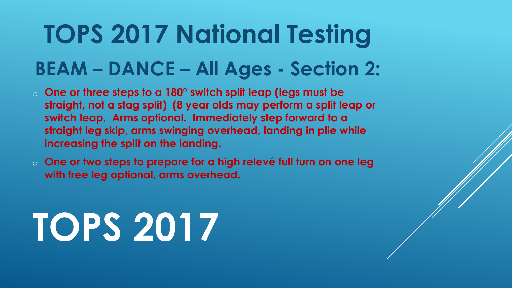### **TOPS 2017 National Testing**

#### **BEAM – DANCE – All Ages - Section 2:**

- o **One or three steps to a 180° switch split leap (legs must be straight, not a stag split) (8 year olds may perform a split leap or switch leap. Arms optional. Immediately step forward to a straight leg skip, arms swinging overhead, landing in plie while increasing the split on the landing.**
- o **One or two steps to prepare for a high relevé full turn on one leg with free leg optional, arms overhead.**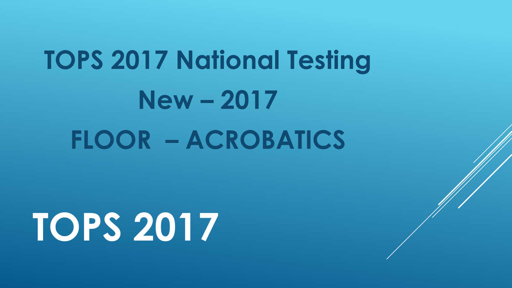## **TOPS 2017 National Testing New – 2017 FLOOR – ACROBATICS**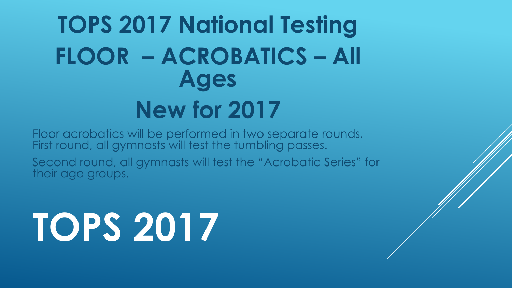#### **TOPS 2017 National Testing FLOOR – ACROBATICS – All Ages New for 2017**

Floor acrobatics will be performed in two separate rounds. First round, all gymnasts will test the tumbling passes.

Second round, all gymnasts will test the "Acrobatic Series" for their age groups.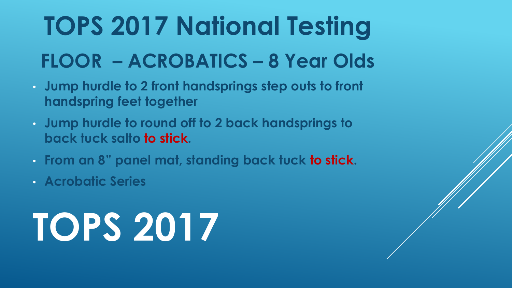#### **TOPS 2017 National Testing FLOOR – ACROBATICS – 8 Year Olds**

- **Jump hurdle to 2 front handsprings step outs to front handspring feet together**
- **Jump hurdle to round off to 2 back handsprings to back tuck salto to stick.**
- **From an 8" panel mat, standing back tuck to stick.**
- **Acrobatic Series**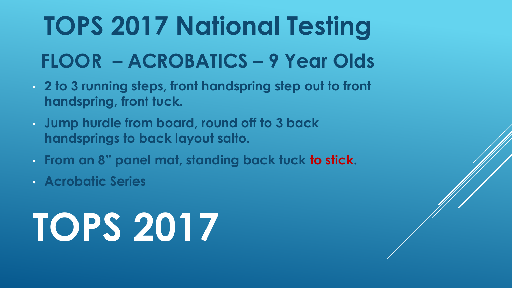#### **TOPS 2017 National Testing FLOOR – ACROBATICS – 9 Year Olds**

- **2 to 3 running steps, front handspring step out to front handspring, front tuck.**
- **Jump hurdle from board, round off to 3 back handsprings to back layout salto.**
- **From an 8" panel mat, standing back tuck to stick.**
- **Acrobatic Series**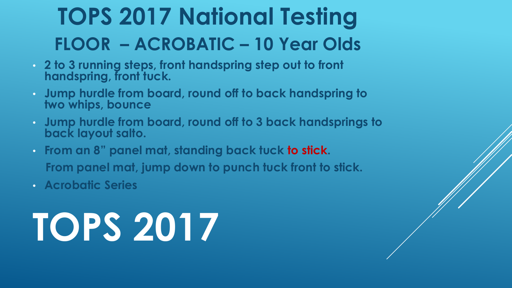#### **TOPS 2017 National Testing FLOOR – ACROBATIC – 10 Year Olds**

- **2 to 3 running steps, front handspring step out to front handspring, front tuck.**
- **Jump hurdle from board, round off to back handspring to two whips, bounce**
- **Jump hurdle from board, round off to 3 back handsprings to back layout salto.**
- **From an 8" panel mat, standing back tuck to stick. From panel mat, jump down to punch tuck front to stick.**
- **Acrobatic Series**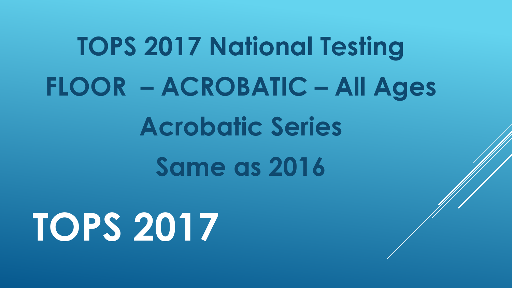# **TOPS 2017 National Testing FLOOR – ACROBATIC – All Ages Acrobatic Series Same as 2016**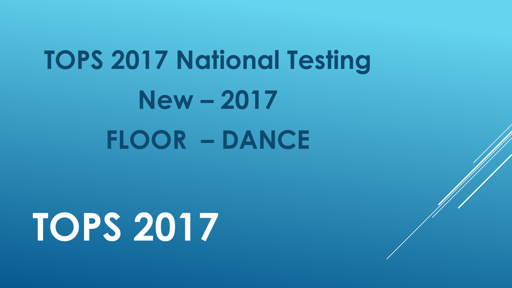## **TOPS 2017 National Testing New – 2017 FLOOR – DANCE**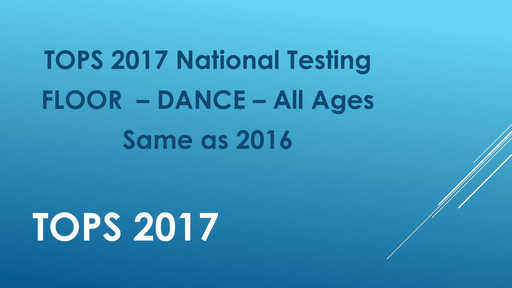## **TOPS 2017 National Testing FLOOR – DANCE – All Ages Same as 2016**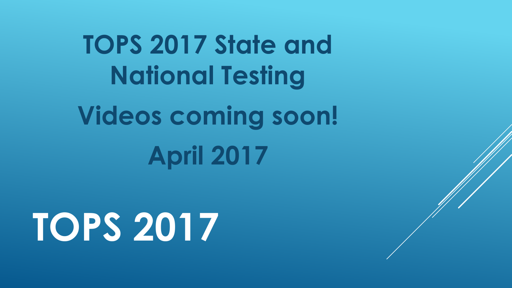**TOPS 2017 State and National Testing Videos coming soon! April 2017**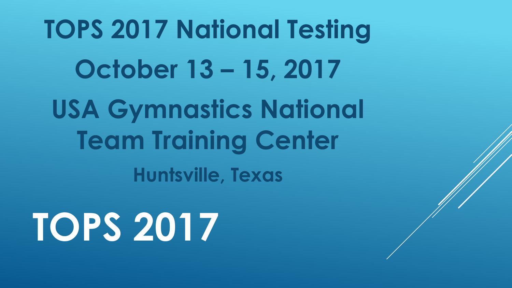**TOPS 2017 National Testing October 13 – 15, 2017 USA Gymnastics National Team Training Center Huntsville, Texas**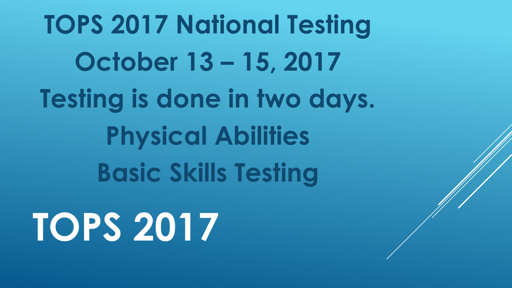**TOPS 2017 National Testing October 13 – 15, 2017 Testing is done in two days. Physical Abilities Basic Skills Testing TOPS 2017**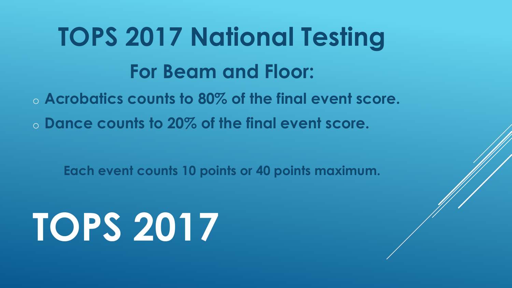### **TOPS 2017 National Testing For Beam and Floor:**

o **Acrobatics counts to 80% of the final event score.**  o **Dance counts to 20% of the final event score.** 

**Each event counts 10 points or 40 points maximum.** 

# **TOPS 2017**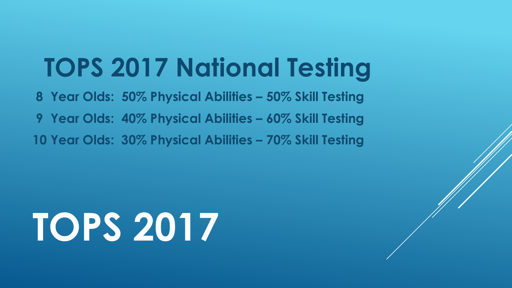#### **TOPS 2017 National Testing**

**8 Year Olds: 50% Physical Abilities – 50% Skill Testing 9 Year Olds: 40% Physical Abilities – 60% Skill Testing 10 Year Olds: 30% Physical Abilities – 70% Skill Testing** 

# **TOPS 2017**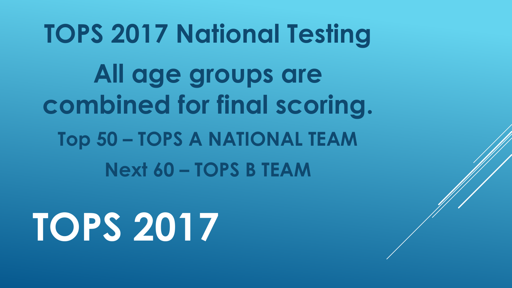## **TOPS 2017 National Testing All age groups are combined for final scoring. Top 50 – TOPS A NATIONAL TEAM Next 60 – TOPS B TEAM**

## **TOPS 2017**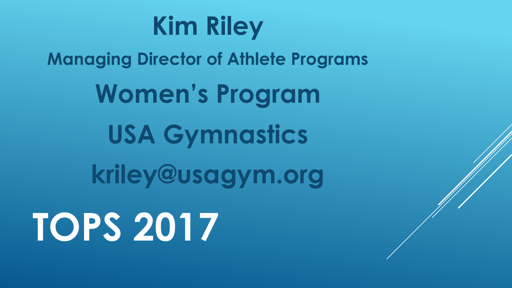

**Managing Director of Athlete Programs Women's Program USA Gymnastics kriley@usagym.org TOPS 2017**